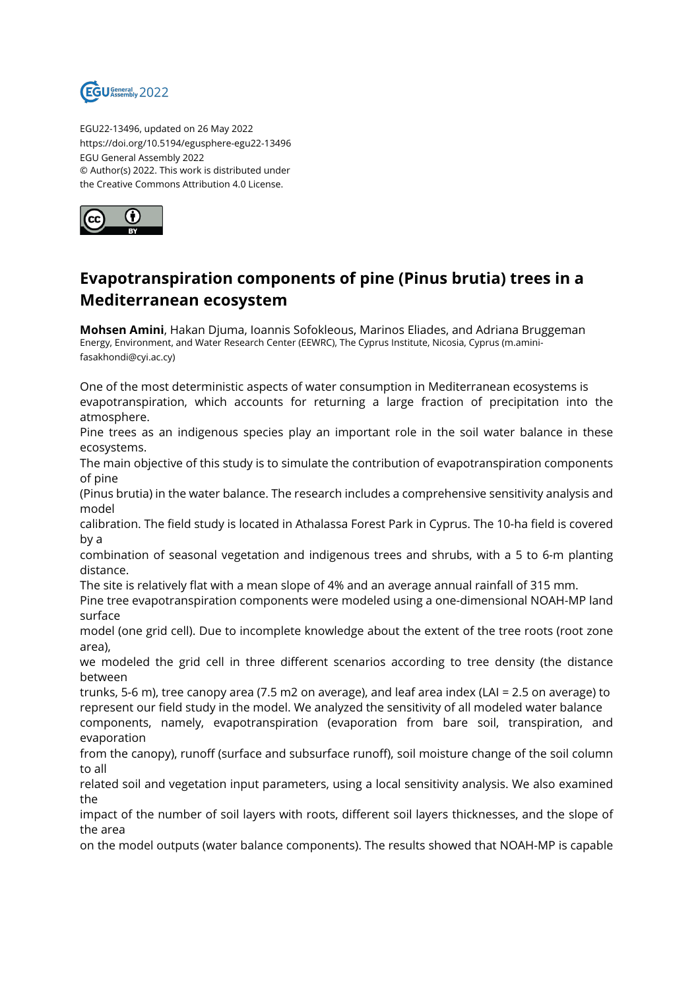

EGU22-13496, updated on 26 May 2022 https://doi.org/10.5194/egusphere-egu22-13496 EGU General Assembly 2022 © Author(s) 2022. This work is distributed under the Creative Commons Attribution 4.0 License.



## **Evapotranspiration components of pine (Pinus brutia) trees in a Mediterranean ecosystem**

**Mohsen Amini**, Hakan Djuma, Ioannis Sofokleous, Marinos Eliades, and Adriana Bruggeman Energy, Environment, and Water Research Center (EEWRC), The Cyprus Institute, Nicosia, Cyprus (m.aminifasakhondi@cyi.ac.cy)

One of the most deterministic aspects of water consumption in Mediterranean ecosystems is evapotranspiration, which accounts for returning a large fraction of precipitation into the atmosphere.

Pine trees as an indigenous species play an important role in the soil water balance in these ecosystems.

The main objective of this study is to simulate the contribution of evapotranspiration components of pine

(Pinus brutia) in the water balance. The research includes a comprehensive sensitivity analysis and model

calibration. The field study is located in Athalassa Forest Park in Cyprus. The 10-ha field is covered by a

combination of seasonal vegetation and indigenous trees and shrubs, with a 5 to 6-m planting distance.

The site is relatively flat with a mean slope of 4% and an average annual rainfall of 315 mm.

Pine tree evapotranspiration components were modeled using a one-dimensional NOAH-MP land surface

model (one grid cell). Due to incomplete knowledge about the extent of the tree roots (root zone area),

we modeled the grid cell in three different scenarios according to tree density (the distance between

trunks, 5-6 m), tree canopy area (7.5 m2 on average), and leaf area index (LAI = 2.5 on average) to represent our field study in the model. We analyzed the sensitivity of all modeled water balance

components, namely, evapotranspiration (evaporation from bare soil, transpiration, and evaporation

from the canopy), runoff (surface and subsurface runoff), soil moisture change of the soil column to all

related soil and vegetation input parameters, using a local sensitivity analysis. We also examined the

impact of the number of soil layers with roots, different soil layers thicknesses, and the slope of the area

on the model outputs (water balance components). The results showed that NOAH-MP is capable